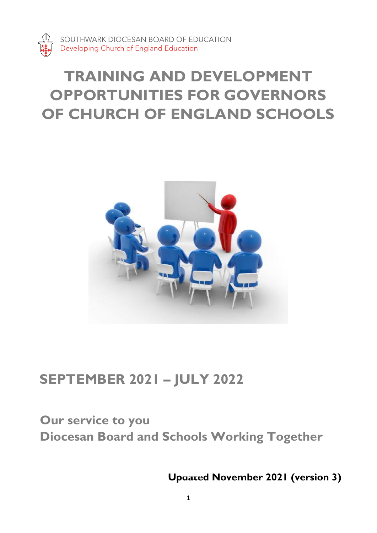

SOUTHWARK DIOCESAN BOARD OF EDUCATION Developing Church of England Education

# **TRAINING AND DEVELOPMENT OPPORTUNITIES FOR GOVERNORS OF CHURCH OF ENGLAND SCHOOLS**



# **SEPTEMBER 2021 – JULY 2022**

# **Our service to you Diocesan Board and Schools Working Together**

**Updated November 2021 (version 3)**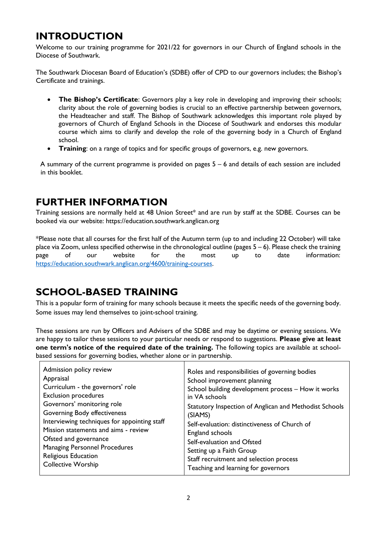# **INTRODUCTION**

Welcome to our training programme for 2021/22 for governors in our Church of England schools in the Diocese of Southwark.

The Southwark Diocesan Board of Education's (SDBE) offer of CPD to our governors includes; the Bishop's Certificate and trainings.

- **The Bishop's Certificate**: Governors play a key role in developing and improving their schools; clarity about the role of governing bodies is crucial to an effective partnership between governors, the Headteacher and staff. The Bishop of Southwark acknowledges this important role played by governors of Church of England Schools in the Diocese of Southwark and endorses this modular course which aims to clarify and develop the role of the governing body in a Church of England school.
- **Training**: on a range of topics and for specific groups of governors, e.g. new governors.

A summary of the current programme is provided on pages  $5 - 6$  and details of each session are included in this booklet.

## **FURTHER INFORMATION**

Training sessions are normally held at 48 Union Street\* and are run by staff at the SDBE. Courses can be booked via our website: [https://education.southwark.anglican.org](https://education.southwark.anglican.org/4600/training-courses)

\*Please note that all courses for the first half of the Autumn term (up to and including 22 October) will take place via Zoom, unless specified otherwise in the chronological outline (pages  $5 - 6$ ). Please check the training page of our website for the most up to date information: [https://education.southwark.anglican.org/4600/training-courses.](https://education.southwark.anglican.org/4600/training-courses)

## **SCHOOL-BASED TRAINING**

This is a popular form of training for many schools because it meets the specific needs of the governing body. Some issues may lend themselves to joint-school training.

These sessions are run by Officers and Advisers of the SDBE and may be daytime or evening sessions. We are happy to tailor these sessions to your particular needs or respond to suggestions. **Please give at least one term's notice of the required date of the training.** The following topics are available at schoolbased sessions for governing bodies, whether alone or in partnership.

| Admission policy review                      | Roles and responsibilities of governing bodies         |
|----------------------------------------------|--------------------------------------------------------|
| Appraisal                                    | School improvement planning                            |
| Curriculum - the governors' role             | School building development process - How it works     |
| <b>Exclusion procedures</b>                  | in VA schools                                          |
| Governors' monitoring role                   | Statutory Inspection of Anglican and Methodist Schools |
| Governing Body effectiveness                 | (SIAMS)                                                |
| Interviewing techniques for appointing staff | Self-evaluation: distinctiveness of Church of          |
| Mission statements and aims - review         | England schools                                        |
| Ofsted and governance                        | Self-evaluation and Ofsted                             |
| <b>Managing Personnel Procedures</b>         | Setting up a Faith Group                               |
| Religious Education                          | Staff recruitment and selection process                |
| <b>Collective Worship</b>                    | Teaching and learning for governors                    |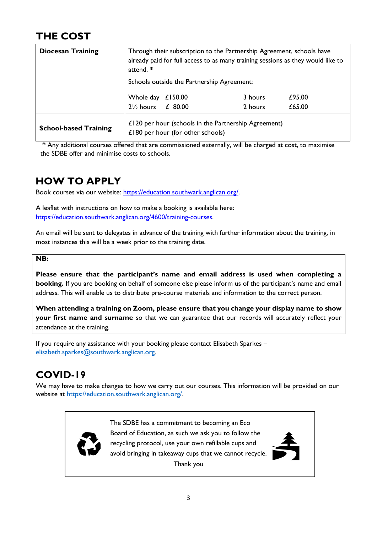# **THE COST**

| <b>Diocesan Training</b>     | Through their subscription to the Partnership Agreement, schools have<br>already paid for full access to as many training sessions as they would like to<br>attend. * |         |         |        |
|------------------------------|-----------------------------------------------------------------------------------------------------------------------------------------------------------------------|---------|---------|--------|
|                              | Schools outside the Partnership Agreement:                                                                                                                            |         |         |        |
|                              | Whole day                                                                                                                                                             | £150.00 | 3 hours | £95.00 |
|                              | $2\frac{1}{2}$ hours                                                                                                                                                  | £ 80.00 | 2 hours | £65.00 |
| <b>School-based Training</b> | £120 per hour (schools in the Partnership Agreement)<br>£180 per hour (for other schools)                                                                             |         |         |        |

**\*** Any additional courses offered that are commissioned externally, will be charged at cost, to maximise the SDBE offer and minimise costs to schools.

# **HOW TO APPLY**

Book courses via our website: [https://education.southwark.anglican.org/.](https://education.southwark.anglican.org/)

A leaflet with instructions on how to make a booking is available here: [https://education.southwark.anglican.org/4600/training-courses.](https://education.southwark.anglican.org/4600/training-courses)

An email will be sent to delegates in advance of the training with further information about the training, in most instances this will be a week prior to the training date.

#### **NB:**

**Please ensure that the participant's name and email address is used when completing a booking.** If you are booking on behalf of someone else please inform us of the participant's name and email address. This will enable us to distribute pre-course materials and information to the correct person.

**When attending a training on Zoom, please ensure that you change your display name to show your first name and surname** so that we can guarantee that our records will accurately reflect your attendance at the training.

If you require any assistance with your booking please contact Elisabeth Sparkes – [elisabeth.sparkes@southwark.anglican.org.](mailto:elisabeth.sparkes@southwark.anglican.org) 

## **COVID-19**

We may have to make changes to how we carry out our courses. This information will be provided on our website at [https://education.southwark.anglican.org/.](https://education.southwark.anglican.org/) 



Board of Education, as such we ask you to follow the<br>recycling protocol, use your own refillable cups and<br>avoid bringing in takeaway cups that we cannot recycle. The SDBE has a commitment to becoming an Eco Board of Education, as such we ask you to follow the recycling protocol, use your own refillable cups and Thank you

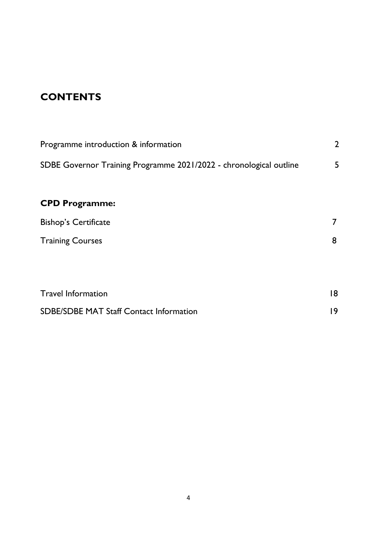# **CONTENTS**

| Programme introduction & information                               | $\overline{2}$ |
|--------------------------------------------------------------------|----------------|
| SDBE Governor Training Programme 2021/2022 - chronological outline | 5              |
| <b>CPD Programme:</b>                                              |                |
| <b>Bishop's Certificate</b>                                        | $\overline{7}$ |
| <b>Training Courses</b>                                            | 8              |
|                                                                    |                |
| <b>Travel Information</b>                                          | 18             |
| <b>SDBE/SDBE MAT Staff Contact Information</b>                     | 9              |
|                                                                    |                |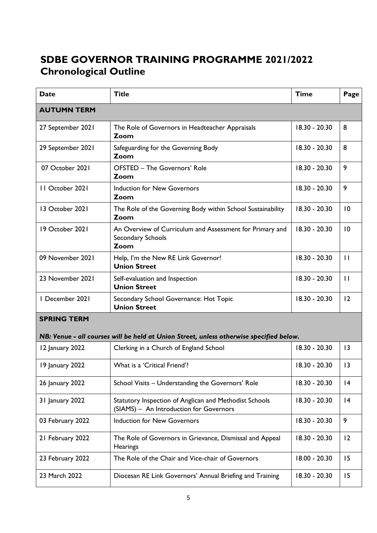# **SDBE GOVERNOR TRAINING PROGRAMME 2021/2022 Chronological Outline**

| <b>Date</b>        | <b>Title</b>                                                                                      | <b>Time</b>     | Page            |
|--------------------|---------------------------------------------------------------------------------------------------|-----------------|-----------------|
| <b>AUTUMN TERM</b> |                                                                                                   |                 |                 |
| 27 September 2021  | The Role of Governors in Headteacher Appraisals<br>Zoom                                           | 18.30 - 20.30   | 8               |
| 29 September 2021  | Safeguarding for the Governing Body<br>Zoom                                                       | $18.30 - 20.30$ | 8               |
| 07 October 2021    | OFSTED - The Governors' Role<br>Zoom                                                              | 18.30 - 20.30   | 9               |
| 11 October 2021    | <b>Induction for New Governors</b><br>Zoom                                                        | 18.30 - 20.30   | 9               |
| 13 October 2021    | The Role of the Governing Body within School Sustainability<br>Zoom                               | 18.30 - 20.30   | 10              |
| 19 October 2021    | An Overview of Curriculum and Assessment for Primary and<br>Secondary Schools<br>Zoom             | 18.30 - 20.30   | $\overline{10}$ |
| 09 November 2021   | Help, I'm the New RE Link Governor!<br><b>Union Street</b>                                        | 18.30 - 20.30   | $\mathbf{H}$    |
| 23 November 2021   | Self-evaluation and Inspection<br><b>Union Street</b>                                             | 18.30 - 20.30   | $\mathbf{H}$    |
| I December 2021    | Secondary School Governance: Hot Topic<br><b>Union Street</b>                                     | $18.30 - 20.30$ | 12              |
| <b>SPRING TERM</b> |                                                                                                   |                 |                 |
|                    | NB: Venue - all courses will be held at Union Street, unless otherwise specified below.           |                 |                 |
| 12 January 2022    | Clerking in a Church of England School                                                            | 18.30 - 20.30   | 3               |
| 19 January 2022    | What is a 'Critical Friend'?                                                                      | 18.30 - 20.30   | 13              |
| 26 January 2022    | School Visits - Understanding the Governors' Role                                                 | 18.30 - 20.30   | 4               |
| 31 January 2022    | Statutory Inspection of Anglican and Methodist Schools<br>(SIAMS) - An Introduction for Governors | 18.30 - 20.30   | 4               |
| 03 February 2022   | <b>Induction for New Governors</b>                                                                | 18.30 - 20.30   | 9               |
| 21 February 2022   | The Role of Governors in Grievance, Dismissal and Appeal<br>Hearings                              | 18.30 - 20.30   | $\overline{2}$  |
| 23 February 2022   | The Role of the Chair and Vice-chair of Governors                                                 | 18.00 - 20.30   | 15              |
| 23 March 2022      | Diocesan RE Link Governors' Annual Briefing and Training                                          | 18.30 - 20.30   | 15              |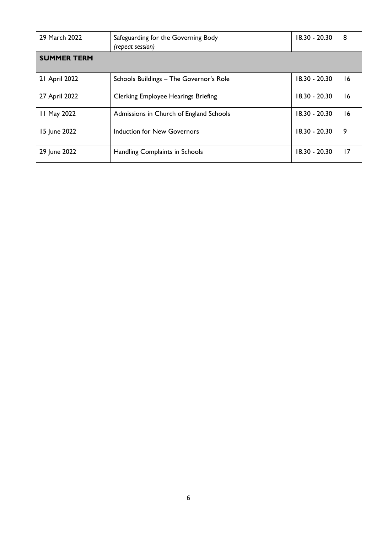| 29 March 2022      | Safeguarding for the Governing Body<br>(repeat session) | 18.30 - 20.30   | 8  |
|--------------------|---------------------------------------------------------|-----------------|----|
| <b>SUMMER TERM</b> |                                                         |                 |    |
| 21 April 2022      | Schools Buildings - The Governor's Role                 | $18.30 - 20.30$ | 16 |
| 27 April 2022      | <b>Clerking Employee Hearings Briefing</b>              | 18.30 - 20.30   | 16 |
| 11 May 2022        | Admissions in Church of England Schools                 | 18.30 - 20.30   | 16 |
| 15 June 2022       | Induction for New Governors                             | 18.30 - 20.30   | 9  |
| 29 June 2022       | Handling Complaints in Schools                          | $18.30 - 20.30$ | 17 |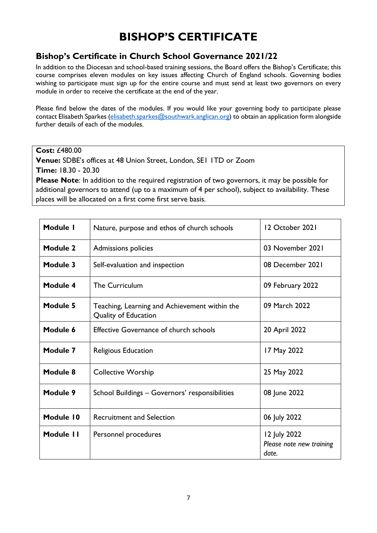# **BISHOP'S CERTIFICATE**

#### **Bishop's Certificate in Church School Governance 2021/22**

In addition to the Diocesan and school-based training sessions, the Board offers the Bishop's Certificate; this course comprises eleven modules on key issues affecting Church of England schools. Governing bodies wishing to participate must sign up for the entire course and must send at least two governors on every module in order to receive the certificate at the end of the year.

Please find below the dates of the modules. If you would like your governing body to participate please contact Elisabeth Sparkes [\(elisabeth.sparkes@southwark.anglican.org\)](mailto:elisabeth.sparkes@southwark.anglican.org) to obtain an application form alongside further details of each of the modules.

**Cost:** £480.00

**Venue:** SDBE's offices at 48 Union Street, London, SE1 1TD or Zoom **Time:** 18.30 - 20.30

**Please Note**: In addition to the required registration of two governors, it may be possible for additional governors to attend (up to a maximum of 4 per school), subject to availability. These places will be allocated on a first come first serve basis.

| Module I        | Nature, purpose and ethos of church schools                           | 12 October 2021                                   |
|-----------------|-----------------------------------------------------------------------|---------------------------------------------------|
| <b>Module 2</b> | Admissions policies                                                   | 03 November 2021                                  |
| Module 3        | Self-evaluation and inspection                                        | 08 December 2021                                  |
| Module 4        | The Curriculum                                                        | 09 February 2022                                  |
| Module 5        | Teaching, Learning and Achievement within the<br>Quality of Education | 09 March 2022                                     |
| Module 6        | <b>Effective Governance of church schools</b>                         | 20 April 2022                                     |
| Module 7        | Religious Education                                                   | 17 May 2022                                       |
| Module 8        | <b>Collective Worship</b>                                             | 25 May 2022                                       |
| Module 9        | School Buildings - Governors' responsibilities                        | 08 June 2022                                      |
| Module 10       | <b>Recruitment and Selection</b>                                      | 06 July 2022                                      |
| Module 11       | Personnel procedures                                                  | 12 July 2022<br>Please note new training<br>date. |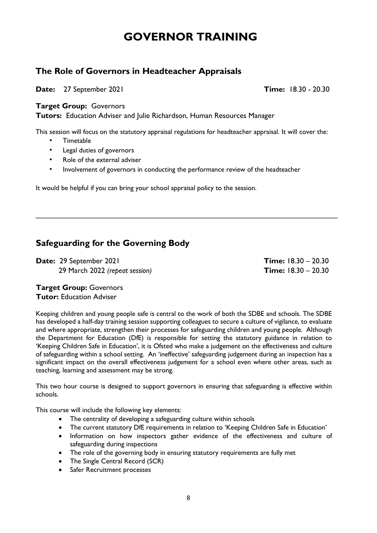# **GOVERNOR TRAINING**

#### **The Role of Governors in Headteacher Appraisals**

**Date:** 27 September 2021 **Time:** 18.30 - 20.30

#### **Target Group:** Governors

**Tutors:** Education Adviser and Julie Richardson, Human Resources Manager

This session will focus on the statutory appraisal regulations for headteacher appraisal. It will cover the:

\_\_\_\_\_\_\_\_\_\_\_\_\_\_\_\_\_\_\_\_\_\_\_\_\_\_\_\_\_\_\_\_\_\_\_\_\_\_\_\_\_\_\_\_\_\_\_\_\_\_\_\_\_\_\_\_\_\_\_\_\_\_\_\_\_\_\_\_\_\_\_\_

- Timetable
- Legal duties of governors
- Role of the external adviser
- Involvement of governors in conducting the performance review of the headteacher

It would be helpful if you can bring your school appraisal policy to the session.

## **Safeguarding for the Governing Body**

**Date:** 29 September 2021 **Time:** 18.30 – 20.30 29 March 2022 *(repeat session)* **Time:** 18.30 – 20.30

#### **Target Group:** Governors

**Tutor:** Education Adviser

Keeping children and young people safe is central to the work of both the SDBE and schools. The SDBE has developed a half-day training session supporting colleagues to secure a culture of vigilance, to evaluate and where appropriate, strengthen their processes for safeguarding children and young people. Although the Department for Education (DfE) is responsible for setting the statutory guidance in relation to 'Keeping Children Safe in Education', it is Ofsted who make a judgement on the effectiveness and culture of safeguarding within a school setting. An 'ineffective' safeguarding judgement during an inspection has a significant impact on the overall effectiveness judgement for a school even where other areas, such as teaching, learning and assessment may be strong.

This two hour course is designed to support governors in ensuring that safeguarding is effective within schools.

This course will include the following key elements:

- The centrality of developing a safeguarding culture within schools
- The current statutory DfE requirements in relation to 'Keeping Children Safe in Education'
- Information on how inspectors gather evidence of the effectiveness and culture of safeguarding during inspections
- The role of the governing body in ensuring statutory requirements are fully met
- The Single Central Record (SCR)
- Safer Recruitment processes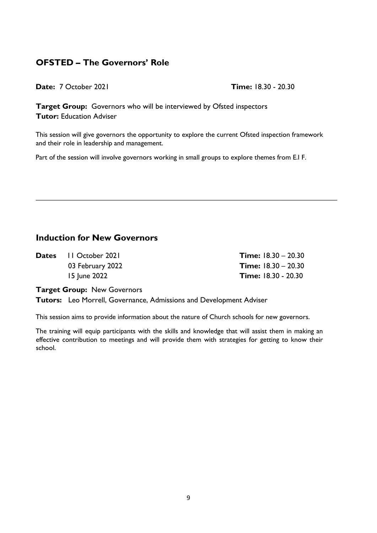## **OFSTED – The Governors' Role**

**Date:** 7 October 2021 **Time:** 18.30 - 20.30

**Target Group:** Governors who will be interviewed by Ofsted inspectors **Tutor:** Education Adviser

This session will give governors the opportunity to explore the current Ofsted inspection framework and their role in leadership and management.

**\_\_\_\_\_\_\_\_\_\_\_\_\_\_\_\_\_\_\_\_\_\_\_\_\_\_\_\_\_\_\_\_\_\_\_\_\_\_\_\_\_\_\_\_\_\_\_\_\_\_\_\_\_\_\_\_\_\_\_\_\_\_\_\_\_\_\_\_**

Part of the session will involve governors working in small groups to explore themes from E.I F.

#### **Induction for New Governors**

**Dates** 11 October 2021 **Time:** 18.30 – 20.30

03 February 2022 **Time:** 18.30 – 20.30 15 June 2022 **Time:** 18.30 - 20.30

**Target Group:** New Governors

**Tutors:** Leo Morrell, Governance, Admissions and Development Adviser

This session aims to provide information about the nature of Church schools for new governors.

The training will equip participants with the skills and knowledge that will assist them in making an effective contribution to meetings and will provide them with strategies for getting to know their school.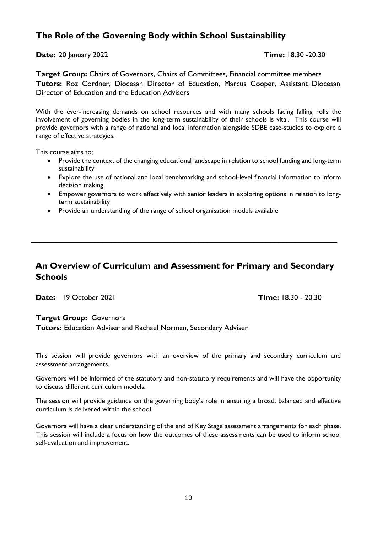### **The Role of the Governing Body within School Sustainability**

**Date:** 20 January 2022 **Time:** 18.30 -20.30

**Target Group:** Chairs of Governors, Chairs of Committees, Financial committee members **Tutors:** Roz Cordner, Diocesan Director of Education, Marcus Cooper, Assistant Diocesan Director of Education and the Education Advisers

With the ever-increasing demands on school resources and with many schools facing falling rolls the involvement of governing bodies in the long-term sustainability of their schools is vital. This course will provide governors with a range of national and local information alongside SDBE case-studies to explore a range of effective strategies.

This course aims to;

- Provide the context of the changing educational landscape in relation to school funding and long-term sustainability
- Explore the use of national and local benchmarking and school-level financial information to inform decision making
- Empower governors to work effectively with senior leaders in exploring options in relation to longterm sustainability
- Provide an understanding of the range of school organisation models available

#### **An Overview of Curriculum and Assessment for Primary and Secondary Schools**

 $\mathcal{L}_\text{max}$  , and the contribution of the contribution of the contribution of the contribution of the contribution of the contribution of the contribution of the contribution of the contribution of the contribution of t

**Date:** 19 October 2021 **Time:** 18.30 - 20.30

#### **Target Group:** Governors

**Tutors:** Education Adviser and Rachael Norman, Secondary Adviser

This session will provide governors with an overview of the primary and secondary curriculum and assessment arrangements.

Governors will be informed of the statutory and non-statutory requirements and will have the opportunity to discuss different curriculum models.

The session will provide guidance on the governing body's role in ensuring a broad, balanced and effective curriculum is delivered within the school.

Governors will have a clear understanding of the end of Key Stage assessment arrangements for each phase. This session will include a focus on how the outcomes of these assessments can be used to inform school self-evaluation and improvement.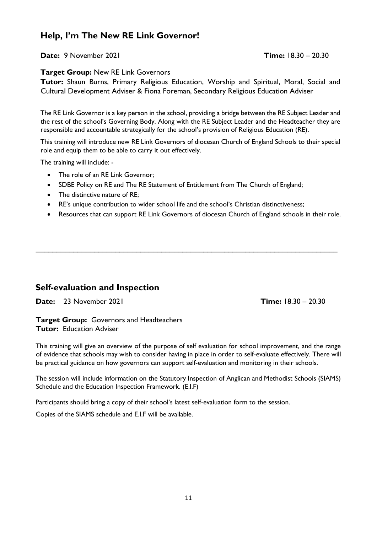#### **Help, I'm The New RE Link Governor!**

**Date:** 9 November 2021 **Time:** 18.30 – 20.30

#### **Target Group:** New RE Link Governors

**Tutor:** Shaun Burns, Primary Religious Education, Worship and Spiritual, Moral, Social and Cultural Development Adviser & Fiona Foreman, Secondary Religious Education Adviser

The RE Link Governor is a key person in the school, providing a bridge between the RE Subject Leader and the rest of the school's Governing Body. Along with the RE Subject Leader and the Headteacher they are responsible and accountable strategically for the school's provision of Religious Education (RE).

This training will introduce new RE Link Governors of diocesan Church of England Schools to their special role and equip them to be able to carry it out effectively.

The training will include: -

- The role of an RE Link Governor:
- SDBE Policy on RE and The RE Statement of Entitlement from The Church of England;
- The distinctive nature of RE;
- RE's unique contribution to wider school life and the school's Christian distinctiveness;
- Resources that can support RE Link Governors of diocesan Church of England schools in their role.

\_\_\_\_\_\_\_\_\_\_\_\_\_\_\_\_\_\_\_\_\_\_\_\_\_\_\_\_\_\_\_\_\_\_\_\_\_\_\_\_\_\_\_\_\_\_\_\_\_\_\_\_\_\_\_\_\_\_\_\_\_\_\_\_\_\_\_\_\_\_\_\_

#### **Self-evaluation and Inspection**

**Date:** 23 November 2021 **Time:** 18.30 – 20.30

**Target Group:** Governors and Headteachers **Tutor:** Education Adviser

This training will give an overview of the purpose of self evaluation for school improvement, and the range of evidence that schools may wish to consider having in place in order to self-evaluate effectively. There will be practical guidance on how governors can support self-evaluation and monitoring in their schools.

The session will include information on the Statutory Inspection of Anglican and Methodist Schools (SIAMS) Schedule and the Education Inspection Framework. (E.I.F)

Participants should bring a copy of their school's latest self-evaluation form to the session.

Copies of the SIAMS schedule and E.I.F will be available.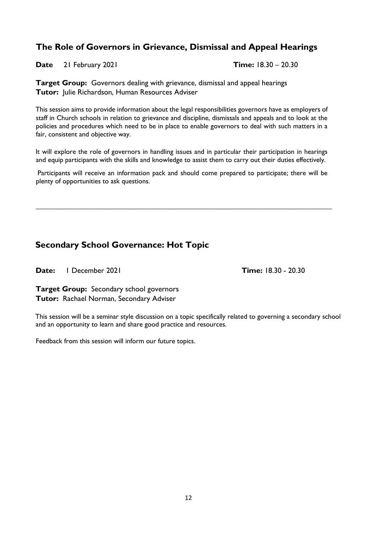## **The Role of Governors in Grievance, Dismissal and Appeal Hearings**

**Date** 21 February 2021 **Time:** 18.30 – 20.30

**Target Group:** Governors dealing with grievance, dismissal and appeal hearings **Tutor:** Julie Richardson, Human Resources Adviser

This session aims to provide information about the legal responsibilities governors have as employers of staff in Church schools in relation to grievance and discipline, dismissals and appeals and to look at the policies and procedures which need to be in place to enable governors to deal with such matters in a fair, consistent and objective way.

It will explore the role of governors in handling issues and in particular their participation in hearings and equip participants with the skills and knowledge to assist them to carry out their duties effectively.

Participants will receive an information pack and should come prepared to participate; there will be plenty of opportunities to ask questions.

**\_\_\_\_\_\_\_\_\_\_\_\_\_\_\_\_\_\_\_\_\_\_\_\_\_\_\_\_\_\_\_\_\_\_\_\_\_\_\_\_\_\_\_\_\_\_\_\_\_\_\_\_\_\_\_\_\_\_\_\_\_\_\_\_\_\_\_\_\_\_\_\_\_\_\_\_\_\_**

## **Secondary School Governance: Hot Topic**

**Date:** 1 December 2021 **Time:** 18.30 - 20.30

**Target Group:** Secondary school governors **Tutor:** Rachael Norman, Secondary Adviser

This session will be a seminar style discussion on a topic specifically related to governing a secondary school and an opportunity to learn and share good practice and resources.

Feedback from this session will inform our future topics.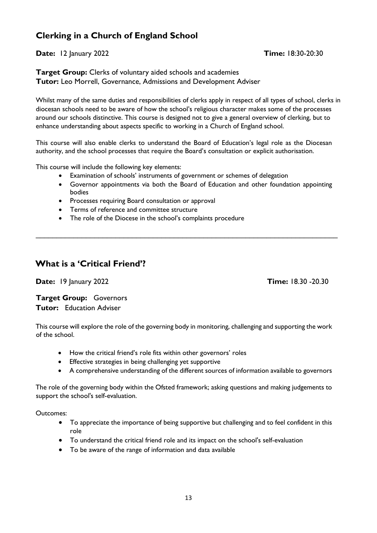## **Clerking in a Church of England School**

#### **Date:** 12 January 2022 **Time:** 18:30-20:30

**Target Group:** Clerks of voluntary aided schools and academies **Tutor:** Leo Morrell, Governance, Admissions and Development Adviser

Whilst many of the same duties and responsibilities of clerks apply in respect of all types of school, clerks in diocesan schools need to be aware of how the school's religious character makes some of the processes around our schools distinctive. This course is designed not to give a general overview of clerking, but to enhance understanding about aspects specific to working in a Church of England school.

This course will also enable clerks to understand the Board of Education's legal role as the Diocesan authority, and the school processes that require the Board's consultation or explicit authorisation.

This course will include the following key elements:

- Examination of schools' instruments of government or schemes of delegation
- Governor appointments via both the Board of Education and other foundation appointing bodies

\_\_\_\_\_\_\_\_\_\_\_\_\_\_\_\_\_\_\_\_\_\_\_\_\_\_\_\_\_\_\_\_\_\_\_\_\_\_\_\_\_\_\_\_\_\_\_\_\_\_\_\_\_\_\_\_\_\_\_\_\_\_\_\_\_\_\_\_\_\_\_\_

- Processes requiring Board consultation or approval
- Terms of reference and committee structure
- The role of the Diocese in the school's complaints procedure

#### **What is a 'Critical Friend'?**

**Date:** 19 January 2022 **Time:** 18.30 -20.30

**Target Group:** Governors **Tutor:** Education Adviser

This course will explore the role of the governing body in monitoring, challenging and supporting the work of the school.

- How the critical friend's role fits within other governors' roles
- Effective strategies in being challenging yet supportive
- A comprehensive understanding of the different sources of information available to governors

The role of the governing body within the Ofsted framework; asking questions and making judgements to support the school's self-evaluation.

Outcomes:

- To appreciate the importance of being supportive but challenging and to feel confident in this role
- To understand the critical friend role and its impact on the school's self-evaluation
- To be aware of the range of information and data available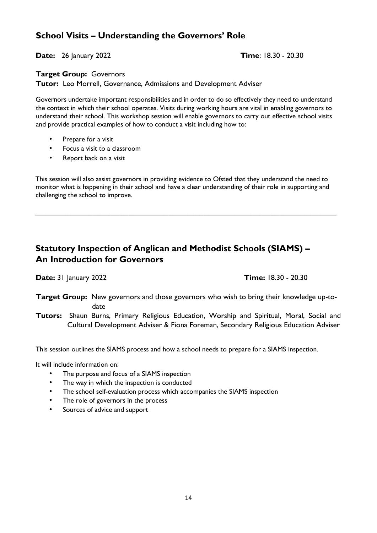#### **School Visits – Understanding the Governors' Role**

**Date:** 26 January 2022 **Time**: 18.30 - 20.30

#### **Target Group:** Governors

**Tutor:** Leo Morrell, Governance, Admissions and Development Adviser

Governors undertake important responsibilities and in order to do so effectively they need to understand the context in which their school operates. Visits during working hours are vital in enabling governors to understand their school. This workshop session will enable governors to carry out effective school visits and provide practical examples of how to conduct a visit including how to:

- Prepare for a visit
- Focus a visit to a classroom
- Report back on a visit

This session will also assist governors in providing evidence to Ofsted that they understand the need to monitor what is happening in their school and have a clear understanding of their role in supporting and challenging the school to improve.

**\_\_\_\_\_\_\_\_\_\_\_\_\_\_\_\_\_\_\_\_\_\_\_\_\_\_\_\_\_\_\_\_\_\_\_\_\_\_\_\_\_\_\_\_\_\_\_\_\_\_\_\_\_\_\_\_\_\_\_\_\_\_\_\_\_\_\_\_**

## **Statutory Inspection of Anglican and Methodist Schools (SIAMS) – An Introduction for Governors**

**Date:** 31 January 2022 **Time:** 18.30 - 20.30

**Target Group:** New governors and those governors who wish to bring their knowledge up-to date

**Tutors:** Shaun Burns, Primary Religious Education, Worship and Spiritual, Moral, Social and Cultural Development Adviser & Fiona Foreman, Secondary Religious Education Adviser

This session outlines the SIAMS process and how a school needs to prepare for a SIAMS inspection.

It will include information on:

- The purpose and focus of a SIAMS inspection
- The way in which the inspection is conducted
- The school self-evaluation process which accompanies the SIAMS inspection
- The role of governors in the process
- Sources of advice and support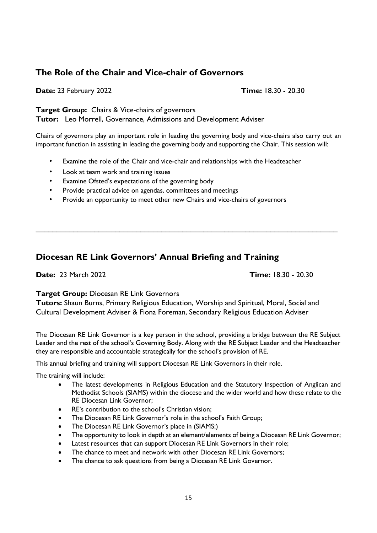#### **The Role of the Chair and Vice-chair of Governors**

**Date:** 23 February 2022 **Time:** 18.30 - 20.30

**Target Group:** Chairs & Vice-chairs of governors **Tutor:** Leo Morrell, Governance, Admissions and Development Adviser

Chairs of governors play an important role in leading the governing body and vice-chairs also carry out an important function in assisting in leading the governing body and supporting the Chair. This session will:

\_\_\_\_\_\_\_\_\_\_\_\_\_\_\_\_\_\_\_\_\_\_\_\_\_\_\_\_\_\_\_\_\_\_\_\_\_\_\_\_\_\_\_\_\_\_\_\_\_\_\_\_\_\_\_\_\_\_\_\_\_\_\_\_\_\_\_\_\_\_\_\_

- Examine the role of the Chair and vice-chair and relationships with the Headteacher
- Look at team work and training issues
- Examine Ofsted's expectations of the governing body
- Provide practical advice on agendas, committees and meetings
- Provide an opportunity to meet other new Chairs and vice-chairs of governors

## **Diocesan RE Link Governors' Annual Briefing and Training**

**Date:** 23 March 2022 **Time:** 18.30 - 20.30

#### **Target Group:** Diocesan RE Link Governors

**Tutors:** Shaun Burns, Primary Religious Education, Worship and Spiritual, Moral, Social and Cultural Development Adviser & Fiona Foreman, Secondary Religious Education Adviser

The Diocesan RE Link Governor is a key person in the school, providing a bridge between the RE Subject Leader and the rest of the school's Governing Body. Along with the RE Subject Leader and the Headteacher they are responsible and accountable strategically for the school's provision of RE.

This annual briefing and training will support Diocesan RE Link Governors in their role.

The training will include:

- The latest developments in Religious Education and the Statutory Inspection of Anglican and Methodist Schools (SIAMS) within the diocese and the wider world and how these relate to the RE Diocesan Link Governor;
- RE's contribution to the school's Christian vision;
- The Diocesan RE Link Governor's role in the school's Faith Group;
- The Diocesan RE Link Governor's place in (SIAMS;)
- The opportunity to look in depth at an element/elements of being a Diocesan RE Link Governor;
- Latest resources that can support Diocesan RE Link Governors in their role;
- The chance to meet and network with other Diocesan RE Link Governors;
- The chance to ask questions from being a Diocesan RE Link Governor.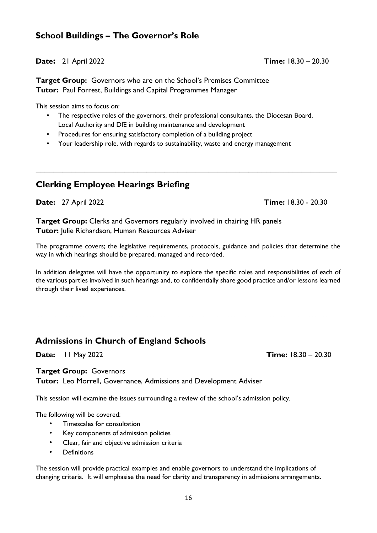#### **School Buildings – The Governor's Role**

**Date:** 21 April 2022 **Time:** 18.30 – 20.30

**Target Group:** Governors who are on the School's Premises Committee **Tutor:** Paul Forrest, Buildings and Capital Programmes Manager

This session aims to focus on:

• The respective roles of the governors, their professional consultants, the Diocesan Board, Local Authority and DfE in building maintenance and development

**\_\_\_\_\_\_\_\_\_\_\_\_\_\_\_\_\_\_\_\_\_\_\_\_\_\_\_\_\_\_\_\_\_\_\_\_\_\_\_\_\_\_\_\_\_\_\_\_\_\_\_\_\_\_\_\_\_\_\_\_\_\_\_\_\_\_\_\_**

- Procedures for ensuring satisfactory completion of a building project
- Your leadership role, with regards to sustainability, waste and energy management

#### **Clerking Employee Hearings Briefing**

**Date:** 27 April 2022 **Time:** 18.30 - 20.30

**Target Group:** Clerks and Governors regularly involved in chairing HR panels **Tutor:** Julie Richardson, Human Resources Adviser

The programme covers; the legislative requirements, protocols, guidance and policies that determine the way in which hearings should be prepared, managed and recorded.

In addition delegates will have the opportunity to explore the specific roles and responsibilities of each of the various parties involved in such hearings and, to confidentially share good practice and/or lessons learned through their lived experiences.

 $\mathcal{L}_\text{max} = \frac{1}{2} \sum_{i=1}^n \mathcal{L}_\text{max} = \frac{1}{2} \sum_{i=1}^n \mathcal{L}_\text{max} = \frac{1}{2} \sum_{i=1}^n \mathcal{L}_\text{max} = \frac{1}{2} \sum_{i=1}^n \mathcal{L}_\text{max} = \frac{1}{2} \sum_{i=1}^n \mathcal{L}_\text{max} = \frac{1}{2} \sum_{i=1}^n \mathcal{L}_\text{max} = \frac{1}{2} \sum_{i=1}^n \mathcal{L}_\text{max} = \frac{1}{2} \sum_{i=$ 

## **Admissions in Church of England Schools**

**Date:** 11 May 2022 **Time:** 18.30 – 20.30

**Target Group:** Governors

**Tutor:** Leo Morrell, Governance, Admissions and Development Adviser

This session will examine the issues surrounding a review of the school's admission policy.

The following will be covered:

- Timescales for consultation
- Key components of admission policies
- Clear, fair and objective admission criteria
- **Definitions**

The session will provide practical examples and enable governors to understand the implications of changing criteria. It will emphasise the need for clarity and transparency in admissions arrangements.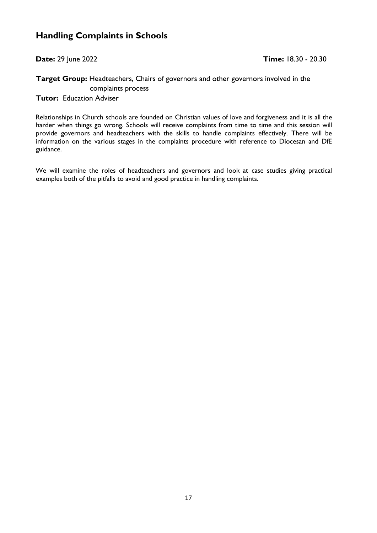#### **Handling Complaints in Schools**

#### **Target Group:** Headteachers, Chairs of governors and other governors involved in the complaints process

**Tutor:** Education Adviser

Relationships in Church schools are founded on Christian values of love and forgiveness and it is all the harder when things go wrong. Schools will receive complaints from time to time and this session will provide governors and headteachers with the skills to handle complaints effectively. There will be information on the various stages in the complaints procedure with reference to Diocesan and DfE guidance.

We will examine the roles of headteachers and governors and look at case studies giving practical examples both of the pitfalls to avoid and good practice in handling complaints.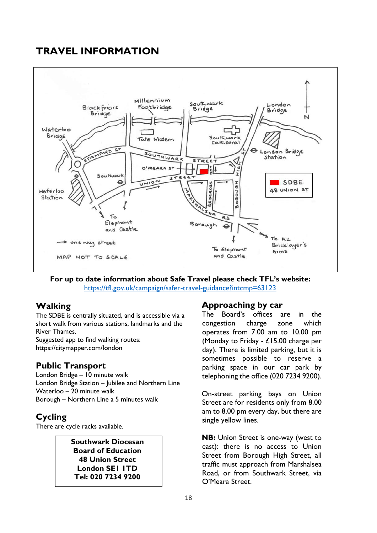## **TRAVEL INFORMATION**



**For up to date information about Safe Travel please check TFL's website:** <https://tfl.gov.uk/campaign/safer-travel-guidance?intcmp=63123>

## **Walking**

The SDBE is centrally situated, and is accessible via a short walk from various stations, landmarks and the River Thames.

Suggested app to find walking routes: <https://citymapper.com/london>

#### **Public Transport**

London Bridge – 10 minute walk London Bridge Station – Jubilee and Northern Line Waterloo – 20 minute walk Borough – Northern Line a 5 minutes walk

## **Cycling**

There are cycle racks available.

#### **Southwark Diocesan Board of Education 48 Union Street London SE1 1TD Tel: 020 7234 9200**

#### **Approaching by car**

The Board's offices are in the congestion charge zone which operates from 7.00 am to 10.00 pm (Monday to Friday - £15.00 charge per day). There is limited parking, but it is sometimes possible to reserve a parking space in our car park by telephoning the office (020 7234 9200).

On-street parking bays on Union Street are for residents only from 8.00 am to 8.00 pm every day, but there are single yellow lines.

**NB:** Union Street is one-way (west to east): there is no access to Union Street from Borough High Street, all traffic must approach from Marshalsea Road, or from Southwark Street, via O'Meara Street.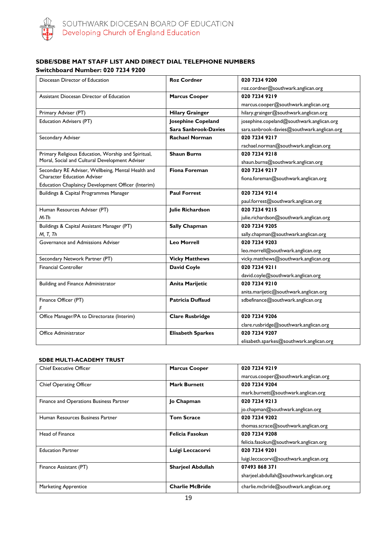

#### **SDBE/SDBE MAT STAFF LIST AND DIRECT DIAL TELEPHONE NUMBERS Switchboard Number: 020 7234 9200**

| Diocesan Director of Education                      | <b>Roz Cordner</b>          | 020 7234 9200                               |
|-----------------------------------------------------|-----------------------------|---------------------------------------------|
|                                                     |                             | roz.cordner@southwark.anglican.org          |
| Assistant Diocesan Director of Education            | <b>Marcus Cooper</b>        | 020 7234 9219                               |
|                                                     |                             | marcus.cooper@southwark.anglican.org        |
| Primary Adviser (PT)                                | <b>Hilary Grainger</b>      | hilary.grainger@southwark.anglican.org      |
| Education Advisers (PT)                             | Josephine Copeland          | josephine.copeland@southwark.anglican.org   |
|                                                     | <b>Sara Sanbrook-Davies</b> | sara.sanbrook-davies@southwark.anglican.org |
| Secondary Adviser                                   | <b>Rachael Norman</b>       | 020 7234 9217                               |
|                                                     |                             | rachael.norman@southwark.anglican.org       |
| Primary Religious Education, Worship and Spiritual, | <b>Shaun Burns</b>          | 020 7234 9218                               |
| Moral, Social and Cultural Development Adviser      |                             | shaun.burns@southwark.anglican.org          |
| Secondary RE Adviser, Wellbeing, Mental Health and  | <b>Fiona Foreman</b>        | 020 7234 9217                               |
| <b>Character Education Adviser</b>                  |                             | fiona.foreman@southwark.anglican.org        |
| Education Chaplaincy Development Officer (Interim)  |                             |                                             |
| Buildings & Capital Programmes Manager              | <b>Paul Forrest</b>         | 020 7234 9214                               |
|                                                     |                             | paul.forrest@southwark.anglican.org         |
| Human Resources Adviser (PT)                        | Julie Richardson            | 020 7234 9215                               |
| M-Th                                                |                             | julie.richardson@southwark.anglican.org     |
| Buildings & Capital Assistant Manager (PT)          | <b>Sally Chapman</b>        | 020 7234 9205                               |
| M, T, Th                                            |                             | sally.chapman@southwark.anglican.org        |
| Governance and Admissions Adviser                   | <b>Leo Morrell</b>          | 020 7234 9203                               |
|                                                     |                             | leo.morrell@southwark.anglican.org          |
| Secondary Network Partner (PT)                      | <b>Vicky Matthews</b>       | vicky.matthews@southwark.anglican.org       |
| <b>Financial Controller</b>                         | <b>David Coyle</b>          | 020 7234 9211                               |
|                                                     |                             | david.coyle@southwark.anglican.org          |
| Building and Finance Administrator                  | Anita Marijetic             | 020 7234 9210                               |
|                                                     |                             | anita.marijetic@southwark.anglican.org      |
| Finance Officer (PT)                                | <b>Patricia Duffaud</b>     | sdbefinance@southwark.anglican.org          |
| F                                                   |                             |                                             |
| Office Manager/PA to Directorate (Interim)          | <b>Clare Rusbridge</b>      | 020 7234 9206                               |
|                                                     |                             | clare.rusbridge@southwark.anglican.org      |
| Office Administrator                                | <b>Elisabeth Sparkes</b>    | 020 7234 9207                               |
|                                                     |                             | elisabeth.sparkes@southwark.anglican.org    |

#### **SDBE MULTI-ACADEMY TRUST**

| <b>Chief Executive Officer</b>          | <b>Marcus Cooper</b>     | 020 7234 9219                            |
|-----------------------------------------|--------------------------|------------------------------------------|
|                                         |                          | marcus.cooper@southwark.anglican.org     |
| <b>Chief Operating Officer</b>          | <b>Mark Burnett</b>      | 020 7234 9204                            |
|                                         |                          | mark.burnett@southwark.anglican.org      |
| Finance and Operations Business Partner | Jo Chapman               | 020 7234 9213                            |
|                                         |                          | jo.chapman@southwark.anglican.org        |
| Human Resources Business Partner        | <b>Tom Scrace</b>        | 020 7234 9202                            |
|                                         |                          | thomas.scrace@southwark.anglican.org     |
| Head of Finance                         | Felicia Fasokun          | 020 7234 9208                            |
|                                         |                          | felicia.fasokun@southwark.anglican.org   |
| <b>Education Partner</b>                | Luigi Leccacorvi         | 020 7234 9201                            |
|                                         |                          | luigi.leccacorvi@southwark.anglican.org  |
| Finance Assistant (PT)                  | <b>Sharjeel Abdullah</b> | 07493 868 371                            |
|                                         |                          | sharjeel.abdullah@southwark.anglican.org |
| <b>Marketing Apprentice</b>             | <b>Charlie McBride</b>   | charlie.mcbride@southwark.anglican.org   |